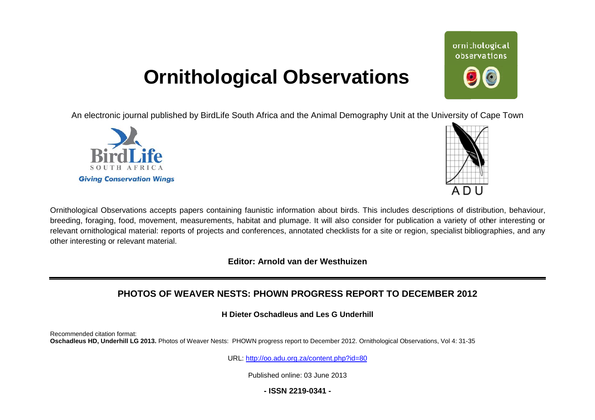# **Ornithological Observations**

An electronic journal published by BirdLife South Africa and the Animal Demography Unit at the University of Cape Town





Ornithological Observations accepts papers containing faunistic information about birds. This includes descriptions of distribution, behaviour, breeding, foraging, food, movement, measurements, habitat and plumage. It will also consider for publication a variety of other interesting or relevant ornithological material: reports of projects and conferences, annotated checklists for a site or region, specialist bibliographies, and any other interesting or relevant material.

**Editor: Arnold van der Westhuizen**

# **PHOTOS OF WEAVER NESTS: PHOWN PROGRESS REPORT TO DECEMBER 2012**

**H Dieter Oschadleus and Les G Underhill**

Recommended citation format: Oschadleus HD, Underhill LG 2013. Photos of Weaver Nests: PHOWN progress report to December 2012. Ornithological Observations, Vol 4: 31-35

URL: <http://oo.adu.org.za/content.php?id=80>

Published online: 03 June 2013

**- ISSN 2219-0341 -** 

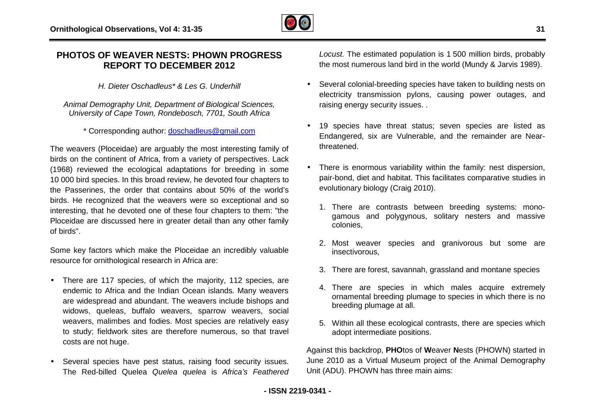

## **PHOTOS OF WEAVER NESTS: PHOWN PROGRESS REPORT TO DECEMBER 2012**

*H. Dieter Oschadleus\* & Les G. Underhill*

*Animal Demography Unit, Department of Biological Sciences Sciences, University of Cape Town, Rondebosch, 7701, South Africa Africa* 

\* Corresponding author: [doschadleus@gmail.com](mailto:doschadleus@gmail.com)

The weavers (Ploceidae) are arguably the most interesting family of birds on the continent of Africa, from a variety of perspectives. Lack (1968) reviewed the ecological adaptations for breeding in some 10 000 bird species. In this broad review, he devoted four chapters to the Passerines, the order that contains about 50% of the world's birds. He recognized that the weavers were so exceptional and so interesting, that he devoted one of these four chapters to them: "the Ploceidae are discussed here in greater detail than any other family of birds". uably the most interesting family of<br>om a variety of perspectives. Lack<br>adaptations for breeding in some<br>review, he devoted four chapters to<br>ontains about 50% of the world's<br>avers were so exceptional and so<br>f these four ch **EXENTS: PHOWN PROGRESS**<br> **EXERCTS:** PHOWN PROGRESS<br> **EXERCT TO DECEMBER 2012**<br> **IDENT TO DECEMBER 2012**<br> **IDENT TO BELOCUST TO SOUTH Africa the mean of Biological Sciences,<br>
<b>EXERCT TO SCILCO FOR THE CONDUCT ACT TO SECT T** 

Some key factors which make the Ploceidae an incredibly valuable resource for ornithological research in Africa are:

- There are 117 species, of which the majority, 112 species, are endemic to Africa and the Indian Ocean islands. Many weavers are widespread and abundant. The weavers include bishops and widows, queleas, buffalo weavers, sparrow weavers, social weavers, malimbes and fodies. Most species are relatively easy to study; fieldwork sites are therefore numerous, so that travel costs are not huge.
- Several species have pest status, raising food security issues. The Red-billed Quelea *Quelea quelea* is *Africa's Feathered*

the most numerous land bird in the world (Mundy & Jarvis 1989).

- Several colonial-breeding species have taken to building nests on electricity transmission pylons, causing power outages, and raising energy security issues. .
- 19 species have threat status; seven species are listed as 19 species have threat status; seven species are listed as<br>Endangered, six are Vulnerable, and the remainder are Nearthreatened.
- There is enormous variability within the family: nest dispersion, pair-bond, diet and habitat. This facilitates comparative studies in evolutionary biology (Craig 2010). pair-bond, diet and habitat. This facilitates comparative studies in<br>evolutionary biology (Craig 2010).<br>1. There are contrasts between breeding systems: mono
	- gamous and polygynous, solitary nesters and massive colonies,
	- 2. Most weaver species and granivorous but some are insectivorous,
	- 3. There are forest, savannah, grassland and montane species
	- 4. There are species in which males acquire extremely ornamental breeding plumage to species in which there is no breeding plumage at all.
	- 5. Within all these ecological contrasts, there are species which adopt intermediate positions.

Against this backdrop, **PHO**tos of **W**eaver **N**ests (PHOWN) started in June 2010 as a Virtual Museum project of the Animal Demography Unit (ADU). PHOWN has three main aims: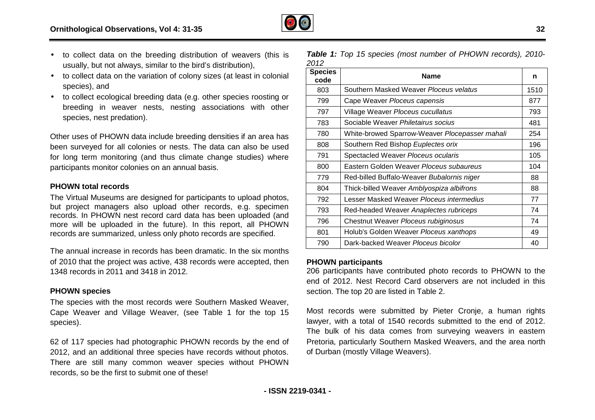

- to collect data on the breeding distribution of weavers (this is usually, but not always, similar to the bird's distribution),
- to collect data on the variation of colony sizes (at least in colonial species), and
- to collect ecological breeding data (e.g. other species roosting or breeding in weaver nests, nesting associations with other species, nest predation).

Other uses of PHOWN data include breeding densities if an area has been surveyed for all colonies or nests. The data can also be used for long term monitoring (and thus climate change studies) where participants monitor colonies on an annual basis. to collect ecological breeding data (e.g.<br>breeding in weaver nests, nesting<br>species, nest predation).<br>Other uses of PHOWN data include breedincen surveyed for all colonies or nests. The<br>price in monitoring (and thus climat

#### **PHOWN total records**

The Virtual Museums are designed for participants to upload photos, but project managers also upload other records, e.g. specimen records. In PHOWN nest record card data has been uploaded (and more will be uploaded in the future). In this report, all PHOWN records are summarized, unless only photo records are specified.

The annual increase in records has been dramatic. In the six months of 2010 that the project was active, 438 records were accepted, then 1348 records in 2011 and 3418 in 2012.

#### **PHOWN species**

The species with the most records were Southern Masked Weaver, Cape Weaver and Village Weaver, (see Table 1 for the top 15 species).

62 of 117 species had photographic PHOWN records by the end of 2012, and an additional three species have records without photos. There are still many common weaver species without PHOWN records, so be the first to submit one of these!

*Table 1: Top 15 species (most number of PHOWN records), 2010 2010- 2012* 

| <b>Species</b><br>code | <b>Name</b>                                           | n    |
|------------------------|-------------------------------------------------------|------|
| 803                    | Southern Masked Weaver Ploceus velatus                | 1510 |
| 799                    | Cape Weaver Ploceus capensis                          | 877  |
| 797                    | Village Weaver Ploceus cucullatus                     | 793  |
| 783                    | Sociable Weaver Philetairus socius                    | 481  |
| 780                    | White-browed Sparrow-Weaver <i>Plocepasser mahali</i> | 254  |
| 808                    | Southern Red Bishop Euplectes orix                    | 196  |
| 791                    | Spectacled Weaver Ploceus ocularis                    | 105  |
| 800                    | Eastern Golden Weaver Ploceus subaureus               | 104  |
| 779                    | Red-billed Buffalo-Weaver Bubalornis niger            | 88   |
| 804                    | Thick-billed Weaver Amblyospiza albifrons             | 88   |
| 792                    | Lesser Masked Weaver Ploceus intermedius              | 77   |
| 793                    | Red-headed Weaver Anaplectes rubriceps                | 74   |
| 796                    | Chestnut Weaver Ploceus rubiginosus                   | 74   |
| 801                    | Holub's Golden Weaver Ploceus xanthops                | 49   |
| 790                    | Dark-backed Weaver Ploceus bicolor                    | 40   |

#### **PHOWN participants**

206 participants have contributed photo records to PHOWN to the end of 2012. Nest Record Card observers are not included in this section. The top 20 are listed in Table 2.

Most records were submitted by Pieter Cronje, a human rights lawyer, with a total of 1540 records submitted to the end of 2012. The bulk of his data comes from surveying weavers in eastern Pretoria, particularly Southern Masked Weavers, and the area north of Durban (mostly Village Weavers).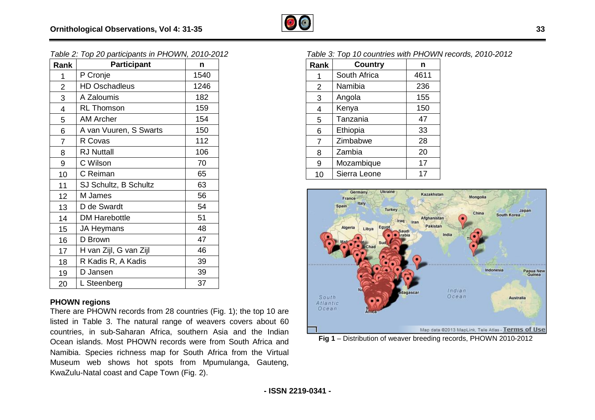

| Table 2: Top 20 participants in PHOWN, 2010-2012 |
|--------------------------------------------------|
|--------------------------------------------------|

|                         | Table 2: Top 20 participants in PHOWN, 2010-2012                                                                                                              |      |                            | Table 3: Top 10 countries with PHOWN records, 2010    |                     |                                |
|-------------------------|---------------------------------------------------------------------------------------------------------------------------------------------------------------|------|----------------------------|-------------------------------------------------------|---------------------|--------------------------------|
| Rank                    | <b>Participant</b>                                                                                                                                            | n    | Rank                       | Country                                               | n                   |                                |
| $\mathbf{1}$            | P Cronje                                                                                                                                                      | 1540 |                            | South Africa                                          | 4611                |                                |
| $\overline{2}$          | <b>HD Oschadleus</b>                                                                                                                                          | 1246 | $\overline{2}$             | Namibia                                               | 236                 |                                |
| 3                       | A Zaloumis                                                                                                                                                    | 182  | 3                          | Angola                                                | 155                 |                                |
| $\overline{\mathbf{4}}$ | <b>RL Thomson</b>                                                                                                                                             | 159  | 4                          | Kenya                                                 | 150                 |                                |
| 5                       | <b>AM Archer</b>                                                                                                                                              | 154  | 5                          | Tanzania                                              | 47                  |                                |
| 6                       | A van Vuuren, S Swarts                                                                                                                                        | 150  | 6                          | Ethiopia                                              | 33                  |                                |
| $\overline{7}$          | R Covas                                                                                                                                                       | 112  | 7                          | Zimbabwe                                              | 28                  |                                |
| 8                       | <b>RJ Nuttall</b>                                                                                                                                             | 106  | 8                          | Zambia                                                | 20                  |                                |
| 9                       | C Wilson                                                                                                                                                      | 70   | 9                          | Mozambique                                            | 17                  |                                |
| 10                      | C Reiman                                                                                                                                                      | 65   | 10                         | Sierra Leone                                          | 17                  |                                |
| 11                      | SJ Schultz, B Schultz                                                                                                                                         | 63   |                            |                                                       |                     |                                |
| 12                      | M James                                                                                                                                                       | 56   |                            | Ukraine<br><b>Germany</b><br>France                   | Kazakhstan          | Mongolia                       |
| 13                      | D de Swardt                                                                                                                                                   | 54   |                            | Italy<br>Spain<br><b>Turkey</b>                       |                     |                                |
| 14                      | <b>DM Harebottle</b>                                                                                                                                          | 51   |                            | Iraq                                                  | Afghanistan<br>Iran | China                          |
| 15                      | <b>JA Heymans</b>                                                                                                                                             | 48   |                            | Egypt<br>Algeria<br>Libya                             | Pakistan            |                                |
| 16                      | D Brown                                                                                                                                                       | 47   |                            | krabia<br>Sud                                         |                     | India                          |
| 17                      | H van Zijl, G van Zijl                                                                                                                                        | 46   |                            |                                                       |                     |                                |
| 18                      | R Kadis R, A Kadis                                                                                                                                            | 39   |                            |                                                       |                     |                                |
| 19                      | D Jansen                                                                                                                                                      | 39   |                            |                                                       |                     | Indo                           |
| 20                      | L Steenberg                                                                                                                                                   | 37   |                            |                                                       |                     |                                |
|                         | <b>PHOWN regions</b><br>There are PHOWN records from 28 countries (Fig. 1); the top 10 are<br>listed in Table 3. The natural range of weavers covers about 60 |      | South<br>Atlantic<br>Ocean |                                                       | adagascar           | Indian<br>Ocean                |
|                         | countries, in sub-Saharan Africa, southern Asia and the Indian                                                                                                |      |                            |                                                       |                     | Map data @2013 MapLink, Tele A |
|                         | Ocean islands. Most PHOWN records were from South Africa and                                                                                                  |      |                            | Fig 1 - Distribution of weaver breeding records, PHOW |                     |                                |
|                         | Namibia. Species richness map for South Africa from the Virtual                                                                                               |      |                            |                                                       |                     |                                |

#### **PHOWN regions**

There are PHOWN records from 28 countries (Fig. 1); the top 10 are listed in Table 3. The natural range of weavers covers about 60 countries, in sub-Saharan Africa, southern Asia and the Indian Ocean islands. Most PHOWN records were from South Africa and Namibia. Species richness map for South Africa from the Virtual Museum web shows hot spots from Mpumulanga, Gauteng, KwaZulu-Natal coast and Cape Town (Fig. 2).

#### Table 3: Top 10 countries with PHOWN records, 2010-2012

| Rank           | <b>Country</b> | n    |
|----------------|----------------|------|
| 1              | South Africa   | 4611 |
| 2              | Namibia        | 236  |
| 3              | Angola         | 155  |
| 4              | Kenya          | 150  |
| 5              | Tanzania       | 47   |
| 6              | Ethiopia       | 33   |
| $\overline{7}$ | Zimbabwe       | 28   |
| 8              | Zambia         | 20   |
| 9              | Mozambique     | 17   |
| 10             | Sierra Leone   | 17   |



**Fig 1** – Distribution of weaver breeding records, PHOWN 2010-2012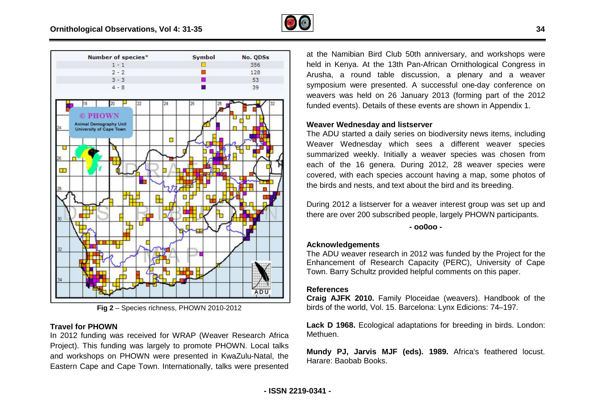





#### **Travel for PHOWN**

In 2012 funding was received for WRAP (Weaver Research Africa Project). This funding was largely to promote PHOWN. Local talks and workshops on PHOWN were presented in KwaZulu-Natal, the Eastern Cape and Cape Town. Internationally, talks were pre presented at the Namibian Bird Club 50th anniversary, and workshops were held in Kenya. At the 13th Pan-African Ornithological Congress in Arusha, a round table discussion, a plenary and a weaver Arusha, a round table discussion, a plenary and a weaver<br>symposium were presented. A successful one-day conference on weavers was held on 26 January 2013 (forming part of the 2012 funded events). Details of these events are shown in Appendix 1.

#### **Weaver Wednesday and listserver**

The ADU started a daily series on biodiversity news items, including Weaver Wednesday which sees a different weaver species summarized weekly. Initially a weaver species was chosen from each of the 16 genera. During 2012, 28 weaver species were covered, with each species account having a map, some photos of the birds and nests, and text about the bird and its breeding. avers was held on 26 January 2013 (forming part of th<br>ded events). Details of these events are shown in Appendia<br>vaver Wednesday and listserver<br>e ADU started a daily series on biodiversity news items, in<br>aver Wednesday whi

During 2012 a listserver for a weaver interest group was set up and there are over 200 subscribed people, largely PHOWN participants.

**- oo0oo -** 

#### **Acknowledgements**

The ADU weaver research in 2012 was funded by the Project for the Enhancement of Research Capacity (PERC), University of Cape Town. Barry Schultz provided helpful comments on this paper.

### **References**

**Craig AJFK 2010.** Family Ploceidae (weavers). Handbook of the birds of the world, Vol. 15. Barcelona: Lynx Edicions: 74-197.

**Lack D 1968.** Ecological adaptations for breeding in birds. London: Methuen.

**Mundy PJ, Jarvis MJF (eds). 1989.** Africa's feathered locust. Harare: Baobab Books.